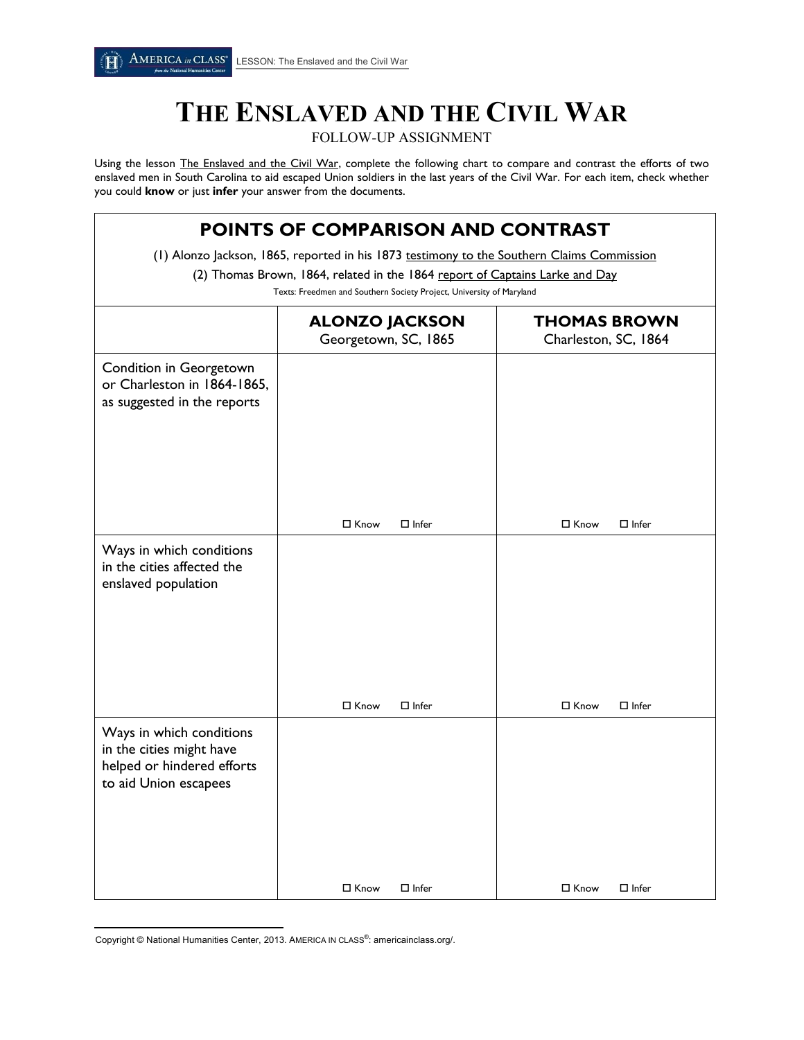## **THE ENSLAVED AND THE \* CIVIL WAR**

FOLLOW-UP ASSIGNMENT

Using the lesson [The Enslaved and the Civil War,](http://americainclass.org/the-enslaved-and-the-civil-war/) complete the following chart to compare and contrast the efforts of two enslaved men in South Carolina to aid escaped Union soldiers in the last years of the Civil War. For each item, check whether you could **know** or just **infer** your answer from the documents.

| <b>POINTS OF COMPARISON AND CONTRAST</b><br>(1) Alonzo Jackson, 1865, reported in his 1873 testimony to the Southern Claims Commission<br>(2) Thomas Brown, 1864, related in the 1864 report of Captains Larke and Day<br>Texts: Freedmen and Southern Society Project, University of Maryland |                             |                        |
|------------------------------------------------------------------------------------------------------------------------------------------------------------------------------------------------------------------------------------------------------------------------------------------------|-----------------------------|------------------------|
|                                                                                                                                                                                                                                                                                                |                             |                        |
| Condition in Georgetown<br>or Charleston in 1864-1865,<br>as suggested in the reports                                                                                                                                                                                                          |                             |                        |
|                                                                                                                                                                                                                                                                                                | $\Box$ Infer<br>□ Know      | □ Know<br>$\Box$ Infer |
| Ways in which conditions<br>in the cities affected the<br>enslaved population                                                                                                                                                                                                                  |                             |                        |
|                                                                                                                                                                                                                                                                                                | □ Know<br>$\Box$ Infer      | □ Know<br>$\Box$ Infer |
| Ways in which conditions<br>in the cities might have<br>helped or hindered efforts<br>to aid Union escapees                                                                                                                                                                                    | $\Box$ Know<br>$\Box$ Infer | □ Know<br>$\Box$ Infer |

 $\overline{\phantom{a}}$ Copyright © National Humanities Center, 2013. AMERICA IN CLASS®: americainclass.org/.